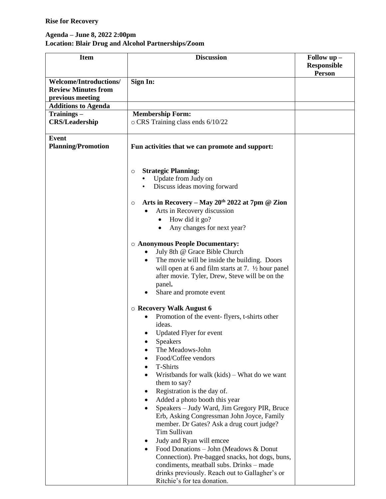## **Rise for Recovery**

## **Agenda – June 8, 2022 2:00pm Location: Blair Drug and Alcohol Partnerships/Zoom**

| <b>Item</b>                          | <b>Discussion</b>                                                     | Follow up -<br><b>Responsible</b> |
|--------------------------------------|-----------------------------------------------------------------------|-----------------------------------|
|                                      |                                                                       | Person                            |
| <b>Welcome/Introductions/</b>        | Sign In:                                                              |                                   |
| <b>Review Minutes from</b>           |                                                                       |                                   |
| previous meeting                     |                                                                       |                                   |
| <b>Additions to Agenda</b>           |                                                                       |                                   |
| Trainings –<br><b>CRS/Leadership</b> | <b>Membership Form:</b><br>$\circ$ CRS Training class ends 6/10/22    |                                   |
|                                      |                                                                       |                                   |
| <b>Event</b>                         |                                                                       |                                   |
| <b>Planning/Promotion</b>            | Fun activities that we can promote and support:                       |                                   |
|                                      |                                                                       |                                   |
|                                      |                                                                       |                                   |
|                                      | <b>Strategic Planning:</b><br>O<br>Update from Judy on                |                                   |
|                                      | Discuss ideas moving forward                                          |                                   |
|                                      |                                                                       |                                   |
|                                      | Arts in Recovery - May 20 <sup>th</sup> 2022 at 7pm @ Zion<br>$\circ$ |                                   |
|                                      | Arts in Recovery discussion<br>$\bullet$                              |                                   |
|                                      | How did it go?                                                        |                                   |
|                                      | Any changes for next year?                                            |                                   |
|                                      | <b>O Anonymous People Documentary:</b>                                |                                   |
|                                      | July 8th @ Grace Bible Church<br>٠                                    |                                   |
|                                      | The movie will be inside the building. Doors<br>$\bullet$             |                                   |
|                                      | will open at 6 and film starts at 7. $\frac{1}{2}$ hour panel         |                                   |
|                                      | after movie. Tyler, Drew, Steve will be on the                        |                                   |
|                                      | panel.                                                                |                                   |
|                                      | Share and promote event                                               |                                   |
|                                      | $\circ$ Recovery Walk August 6                                        |                                   |
|                                      | Promotion of the event-flyers, t-shirts other                         |                                   |
|                                      | ideas.                                                                |                                   |
|                                      | <b>Updated Flyer for event</b><br>$\bullet$                           |                                   |
|                                      | <b>Speakers</b>                                                       |                                   |
|                                      | The Meadows-John                                                      |                                   |
|                                      | Food/Coffee vendors                                                   |                                   |
|                                      | T-Shirts<br>٠                                                         |                                   |
|                                      | Wristbands for walk $(kids)$ – What do we want                        |                                   |
|                                      | them to say?                                                          |                                   |
|                                      | Registration is the day of.<br>٠<br>Added a photo booth this year     |                                   |
|                                      | ٠<br>Speakers – Judy Ward, Jim Gregory PIR, Bruce<br>$\bullet$        |                                   |
|                                      | Erb, Asking Congressman John Joyce, Family                            |                                   |
|                                      | member. Dr Gates? Ask a drug court judge?                             |                                   |
|                                      | Tim Sullivan                                                          |                                   |
|                                      | Judy and Ryan will emcee<br>٠                                         |                                   |
|                                      | Food Donations - John (Meadows & Donut<br>$\bullet$                   |                                   |
|                                      | Connection). Pre-bagged snacks, hot dogs, buns,                       |                                   |
|                                      | condiments, meatball subs. Drinks - made                              |                                   |
|                                      | drinks previously. Reach out to Gallagher's or                        |                                   |
|                                      | Ritchie's for tea donation.                                           |                                   |